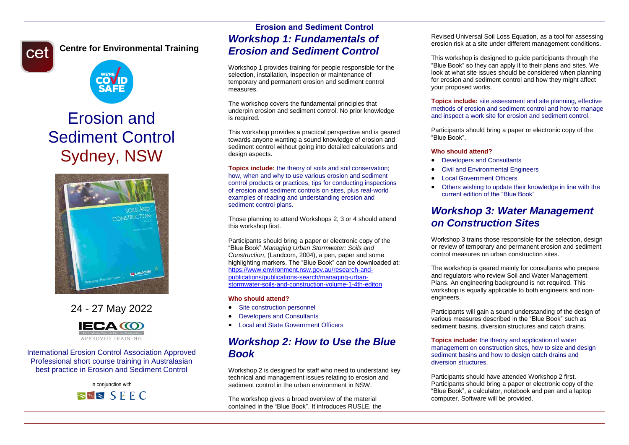# cet

### **Centre for Environmental Training**



## Erosion and Sediment Control Sydney, NSW



### 24 - 27 May 2022



International Erosion Control Association Approved Professional short course training in Australasian best practice in Erosion and Sediment Control

> in conjunction with  $\Rightarrow$   $\approx$  SEEC

### **Erosion and Sediment Control** *Workshop 1: Fundamentals of Erosion and Sediment Control*

Workshop 1 provides training for people responsible for the selection, installation, inspection or maintenance of temporary and permanent erosion and sediment control measures.

The workshop covers the fundamental principles that underpin erosion and sediment control. No prior knowledge is required.

This workshop provides a practical perspective and is geared towards anyone wanting a sound knowledge of erosion and sediment control without going into detailed calculations and design aspects.

**Topics include:** the theory of soils and soil conservation; how, when and why to use various erosion and sediment control products or practices, tips for conducting inspections of erosion and sediment controls on sites, plus real-world examples of reading and understanding erosion and sediment control plans.

Those planning to attend Workshops 2, 3 or 4 should attend this workshop first.

Participants should bring a paper or electronic copy of the "Blue Book" *Managing Urban Stormwater: Soils and Construction*, (Landcom, 2004), a pen, paper and some highlighting markers. The "Blue Book" can be downloaded at: [https://www.environment.nsw.gov.au/research-and](https://www.environment.nsw.gov.au/research-and-publications/publications-search/managing-urban-stormwater-soils-and-construction-volume-1-4th-editon)[publications/publications-search/managing-urban](https://www.environment.nsw.gov.au/research-and-publications/publications-search/managing-urban-stormwater-soils-and-construction-volume-1-4th-editon)[stormwater-soils-and-construction-volume-1-4th-editon](https://www.environment.nsw.gov.au/research-and-publications/publications-search/managing-urban-stormwater-soils-and-construction-volume-1-4th-editon)

#### **Who should attend?**

- Site construction personnel
- Developers and Consultants
- Local and State Government Officers

### *Workshop 2: How to Use the Blue Book*

Workshop 2 is designed for staff who need to understand key technical and management issues relating to erosion and sediment control in the urban environment in NSW.

The workshop gives a broad overview of the material contained in the "Blue Book". It introduces RUSLE, the

Revised Universal Soil Loss Equation, as a tool for assessing erosion risk at a site under different management conditions.

This workshop is designed to guide participants through the "Blue Book" so they can apply it to their plans and sites. We look at what site issues should be considered when planning for erosion and sediment control and how they might affect your proposed works.

**Topics include:** site assessment and site planning, effective methods of erosion and sediment control and how to manage and inspect a work site for erosion and sediment control.

Participants should bring a paper or electronic copy of the "Blue Book".

#### **Who should attend?**

- Developers and Consultants
- Civil and Environmental Engineers
- Local Government Officers
- Others wishing to update their knowledge in line with the current edition of the "Blue Book"

### *Workshop 3: Water Management on Construction Sites*

Workshop 3 trains those responsible for the selection, design or review of temporary and permanent erosion and sediment control measures on urban construction sites.

The workshop is geared mainly for consultants who prepare and regulators who review Soil and Water Management Plans. An engineering background is not required. This workshop is equally applicable to both engineers and nonengineers.

Participants will gain a sound understanding of the design of various measures described in the "Blue Book" such as sediment basins, diversion structures and catch drains.

#### **Topics include:** the theory and application of water management on construction sites, how to size and design sediment basins and how to design catch drains and diversion structures.

Participants should have attended Workshop 2 first. Participants should bring a paper or electronic copy of the "Blue Book", a calculator, notebook and pen and a laptop computer. Software will be provided.